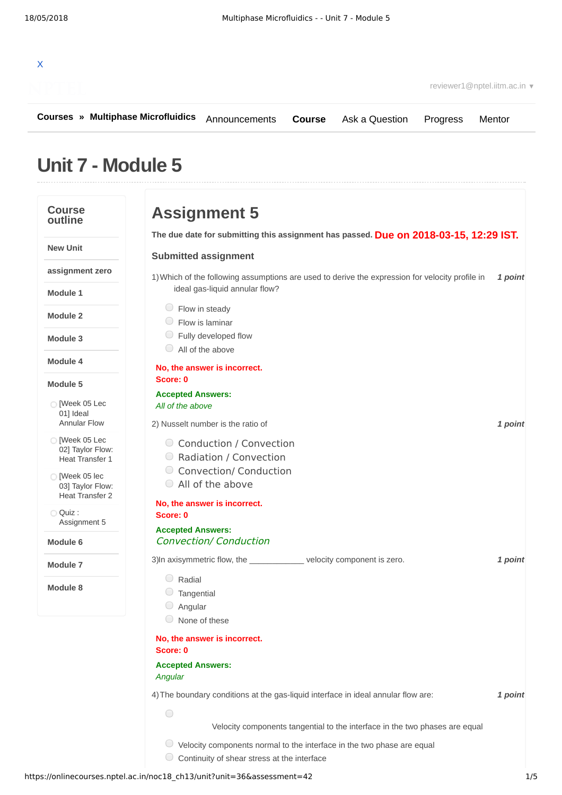

**[Courses](https://onlinecourses.nptel.ac.in/) » [Multiphase Microfluidics](https://onlinecourses.nptel.ac.in/noc18_ch13/course)**

**[Course](https://onlinecourses.nptel.ac.in/noc18_ch13/course)** [Ask a Question](https://onlinecourses.nptel.ac.in/noc18_ch13/forum) [Progress](https://onlinecourses.nptel.ac.in/noc18_ch13/student/home) [Mentor](https://onlinecourses.nptel.ac.in/noc18_ch13/student/mentor)

# **Unit 7 - Module 5**

#### **Course Assignment 5 outline Due on 2018-03-15, 12:29 IST. The due date for submitting this assignment has passed. New Unit Submitted assignment assignment zero** 1) Which of the following assumptions are used to derive the expression for velocity profile in 1 point ideal gas-liquid annular flow? **Module 1** Flow in steady **Module 2** Flow is laminar Fully developed flow **Module 3** All of the above **Module 4 No, the answer is incorrect. Score: 0 Module 5 Accepted Answers:** [Week 05 Lec *All of the above* 01] Ideal [Annular](https://onlinecourses.nptel.ac.in/noc18_ch13/unit?unit=36&lesson=37) Flow 2) *1 point* Nusselt number is the ratio of  $\bigcirc$  [Week 05 Lec Conduction / Convection 02] Taylor Flow: Radiation / Convection Heat [Transfer](https://onlinecourses.nptel.ac.in/noc18_ch13/unit?unit=36&lesson=38) 1 Convection/ Conduction  $\bigcirc$  [Week 05 lec All of the above 03] Taylor Flow: Heat [Transfer](https://onlinecourses.nptel.ac.in/noc18_ch13/unit?unit=36&lesson=39) 2 **No, the answer is incorrect.** Quiz : **Score: 0** [Assignment](https://onlinecourses.nptel.ac.in/noc18_ch13/assessment?name=42) 5 **Accepted Answers:** Convection/ Conduction **Module 6** 3) In axisymmetric flow, the \_\_\_\_\_\_\_\_\_\_\_\_\_ velocity component is zero. **1** point **Module 7** Radial **Module 8** Tangential  $\circ$  Angular None of these **No, the answer is incorrect. Score: 0 Accepted Answers:** *Angular* 4) *1 point* The boundary conditions at the gas-liquid interface in ideal annular flow are:  $\bigcap$ Velocity components tangential to the interface in the two phases are equal  $\circlearrowright$  Velocity components normal to the interface in the two phase are equal  $\bigcirc$  Continuity of shear stress at the interface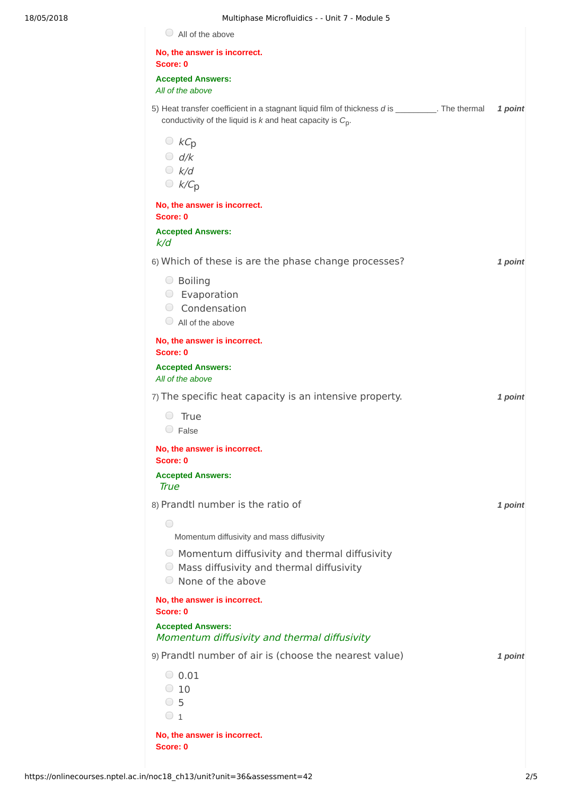| 18/05/2018 | Multiphase Microfluidics - - Unit 7 - Module 5                                                                                                                     |         |
|------------|--------------------------------------------------------------------------------------------------------------------------------------------------------------------|---------|
|            | $\bigcirc$ All of the above                                                                                                                                        |         |
|            | No, the answer is incorrect.<br>Score: 0                                                                                                                           |         |
|            | <b>Accepted Answers:</b><br>All of the above                                                                                                                       |         |
|            | 5) Heat transfer coefficient in a stagnant liquid film of thickness d is __________. The thermal<br>conductivity of the liquid is $k$ and heat capacity is $C_p$ . | 1 point |
|            | $\bigcirc$ $kC_p$<br>$O$ d/k<br>$\bigcirc$ k/d<br>$\bigcirc$ k/C <sub>p</sub>                                                                                      |         |
|            | No, the answer is incorrect.<br>Score: 0                                                                                                                           |         |
|            | <b>Accepted Answers:</b><br>k/d                                                                                                                                    |         |
|            | 6) Which of these is are the phase change processes?                                                                                                               | 1 point |
|            | ○ Boiling<br>$\circ$ Evaporation<br>Condensation<br>$\bigcirc$ All of the above                                                                                    |         |
|            | No, the answer is incorrect.<br>Score: 0                                                                                                                           |         |
|            | <b>Accepted Answers:</b><br>All of the above                                                                                                                       |         |
|            | 7) The specific heat capacity is an intensive property.                                                                                                            | 1 point |
|            | True<br>$\circ$ False                                                                                                                                              |         |
|            | No, the answer is incorrect.<br>Score: 0                                                                                                                           |         |
|            | <b>Accepted Answers:</b><br>True                                                                                                                                   |         |
|            | 8) Prandtl number is the ratio of                                                                                                                                  | 1 point |
|            | ◯<br>Momentum diffusivity and mass diffusivity                                                                                                                     |         |
|            | ○ Momentum diffusivity and thermal diffusivity<br>$\circ$ Mass diffusivity and thermal diffusivity<br>○ None of the above                                          |         |
|            | No, the answer is incorrect.<br>Score: 0                                                                                                                           |         |
|            | <b>Accepted Answers:</b><br>Momentum diffusivity and thermal diffusivity                                                                                           |         |
|            | 9) Prandtl number of air is (choose the nearest value)                                                                                                             | 1 point |
|            | $\bigcirc$ 0.01<br>$\degree$ 10<br>$\circ$ 5<br>$\circ$ 1                                                                                                          |         |
|            | No, the answer is incorrect.<br>Score: 0                                                                                                                           |         |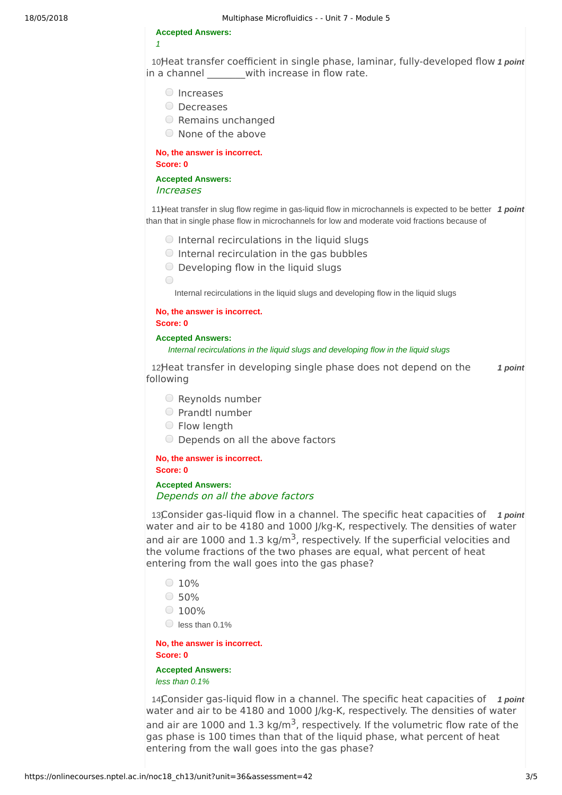#### **Accepted Answers:**

*1*

10Heat transfer coefficient in single phase, laminar, fully-developed flow 1 point in a channel with increase in flow rate.

- O Increases
- Decreases
- Remains unchanged
- None of the above

**No, the answer is incorrect. Score: 0**

#### **Accepted Answers:** Increases

11) Heat transfer in slug flow regime in gas-liquid flow in microchannels is expected to be better 1 point than that in single phase flow in microchannels for low and moderate void fractions because of

- $\bigcirc$  Internal recirculations in the liquid slugs
- $\bigcirc$  Internal recirculation in the gas bubbles
- $\bigcirc$  Developing flow in the liquid slugs

Internal recirculations in the liquid slugs and developing flow in the liquid slugs

## **No, the answer is incorrect.**

**Score: 0**

 $\bigcirc$ 

#### **Accepted Answers:**

#### *Internal recirculations in the liquid slugs and developing flow in the liquid slugs*

12Heat transfer in developing single phase does not depend on the 1 point following

- $\bigcirc$  Reynolds number
- Prandtl number
- Flow length
- Depends on all the above factors

# **No, the answer is incorrect.**

**Score: 0**

### **Accepted Answers:** Depends on all the above factors

13Consider gas-liquid flow in a channel. The specific heat capacities of 1 point water and air to be 4180 and 1000 J/kg-K, respectively. The densities of water and air are 1000 and 1.3 kg/m<sup>3</sup>, respectively. If the superficial velocities and the volume fractions of the two phases are equal, what percent of heat entering from the wall goes into the gas phase?

- $0.10%$
- $\circ$  50%
- $0.100%$
- $\bigcirc$  less than 0.1%

#### **No, the answer is incorrect. Score: 0**

#### **Accepted Answers:** *less than 0.1%*

14Consider gas-liquid flow in a channel. The specific heat capacities of 1 point water and air to be 4180 and 1000 J/kg-K, respectively. The densities of water and air are 1000 and 1.3 kg/m<sup>3</sup>, respectively. If the volumetric flow rate of the gas phase is 100 times than that of the liquid phase, what percent of heat entering from the wall goes into the gas phase?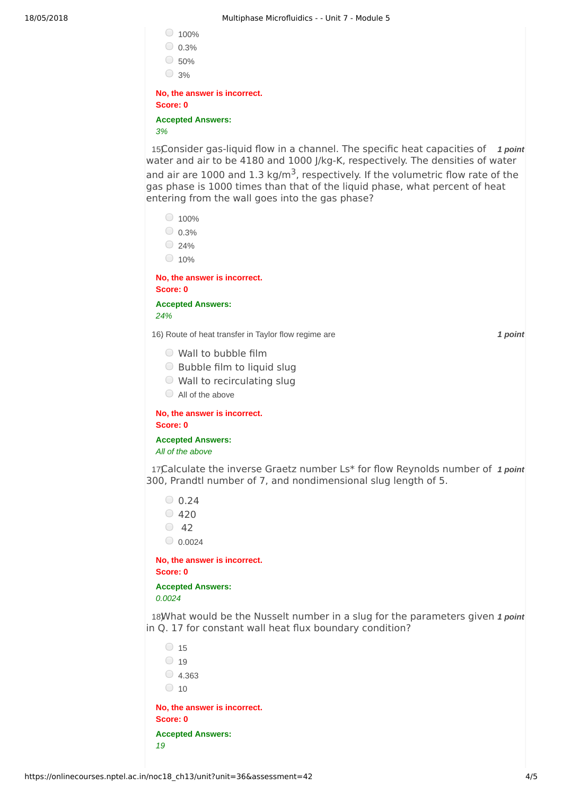|                                          | 100%                     |  |  |  |
|------------------------------------------|--------------------------|--|--|--|
| U.                                       | 0.3%                     |  |  |  |
|                                          | 50%                      |  |  |  |
|                                          | 3%                       |  |  |  |
| No, the answer is incorrect.<br>Score: 0 |                          |  |  |  |
|                                          | <b>Accepted Answers:</b> |  |  |  |
| 3%                                       |                          |  |  |  |

15Consider gas-liquid flow in a channel. The specific heat capacities of 1 point water and air to be 4180 and 1000 J/kg-K, respectively. The densities of water and air are 1000 and 1.3 kg/m<sup>3</sup>, respectively. If the volumetric flow rate of the gas phase is 1000 times than that of the liquid phase, what percent of heat entering from the wall goes into the gas phase?

| 100%    |  |
|---------|--|
| $0.3\%$ |  |

 $\bigcirc$  24%

 $\bigcirc$  10%

**No, the answer is incorrect. Score: 0**

**Accepted Answers:** *24%*

16) *1 point* .Route of heat transfer in Taylor flow regime are

Wall to bubble film

 $\bigcirc$  Bubble film to liquid slug

Wall to recirculating slug

All of the above

**No, the answer is incorrect. Score: 0**

**Accepted Answers:**

*All of the above*

17Calculate the inverse Graetz number Ls\* for flow Reynolds number of 1 point 300, Prandtl number of 7, and nondimensional slug length of 5.

- $0.24$
- $\degree$  420
- $\degree$  42

 $_0.0024$ 

**No, the answer is incorrect. Score: 0**

**Accepted Answers:** *0.0024*

18) What would be the Nusselt number in a slug for the parameters given 1 point in Q. 17 for constant wall heat flux boundary condition?

|                                          | 15    |  |  |  |
|------------------------------------------|-------|--|--|--|
|                                          | 19    |  |  |  |
| $($ )                                    | 4.363 |  |  |  |
| U.                                       | 10    |  |  |  |
| No, the answer is incorrect.<br>Score: 0 |       |  |  |  |
| <b>Accepted Answers:</b>                 |       |  |  |  |
| 19                                       |       |  |  |  |